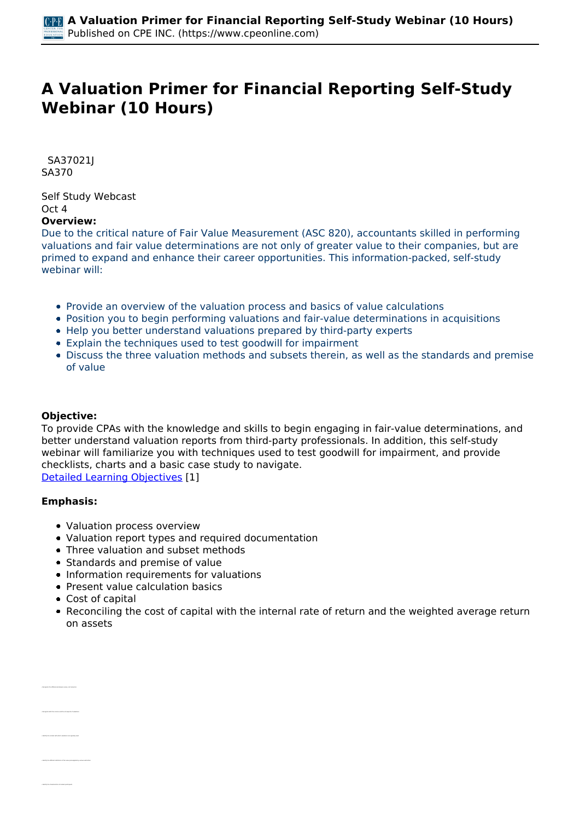# **A Valuation Primer for Financial Reporting Self-Study Webinar (10 Hours)**

 *SA37021J SA370* 

*Self Study Webcast Oct 4*  **Overview:** 

### *Due to the critical nature of Fair Value Measurement (ASC 820), accountants skilled in performing valuations and fair value determinations are not only of greater value to their companies, but are primed to expand and enhance their career opportunities. This information-packed, self-study webinar will:*

- *Provide an overview of the valuation process and basics of value calculations*
- *Position you to begin performing valuations and fair-value determinations in acquisitions*
- *Help you better understand valuations prepared by third-party experts*
- *Explain the techniques used to test goodwill for impairment*
- *Discuss the three valuation methods and subsets therein, as well as the standards and premise of value*

## **Objective:**

*To provide CPAs with the knowledge and skills to begin engaging in fair-value determinations, and better understand valuation reports from third-party professionals. In addition, this self-study webinar will familiarize you with techniques used to test goodwill for impairment, and provide checklists, charts and a basic case study to navigate. [Detailed Learning Objectives](https://www.cpeonline.com/JavaScript:showObjectivesPopup();) [1]*

#### **Emphasis:**

*• Recognize the differences between value, cost and price*

*• Identify the different definitions of fair value promulgated by various authorities*

- *Valuation process overview*
- *Valuation report types and required documentation*
- *Three valuation and subset methods*
- *Standards and premise of value*
- *Information requirements for valuations*
- *Present value calculation basics*
- *Cost of capital*
- *Reconciling the cost of capital with the internal rate of return and the weighted average return on assets*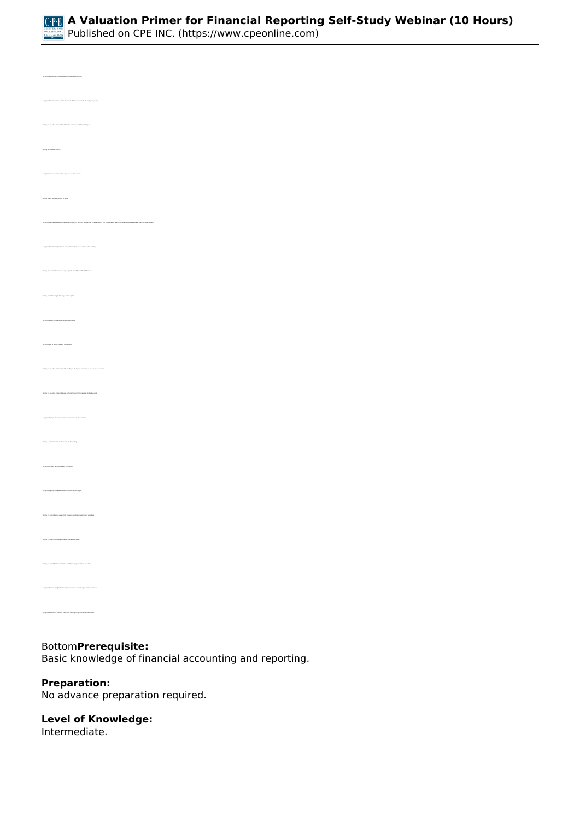

*• Recognize the circumstances under which each of the valuation methods are typically used • Identify the valuation method that utilizes the discounted cash flow technique • Identify key valuation metrics • Identify how to calculate the cost of capital • Recognize the relationship between an investment's beta score and its relative volatility • Identify an investment's cost of equity using both the CAPM and MCAPM formula • Recognize the accounting role of goodwill in valuations • Recognize how to value contingent consideration • Identify the valuation method generally resulting in the highest amount when used to value a business • Identify the valuation method that uses historical financial information as its starting point • Identify a common mistake made in financial forecasting • Recognize common terminology used in valuations • Identify the FASB's recognized categories of intangible assets • Identify the role of the tax amortization benefit of intangible assets in valuations* 

## *Bottom***Prerequisite:**

*Basic knowledge of financial accounting and reporting.*

#### **Preparation:**

*• Recognize the different valuation credentials currently recognized in the marketplace*

*No advance preparation required.*

## **Level of Knowledge:**

*Intermediate.*